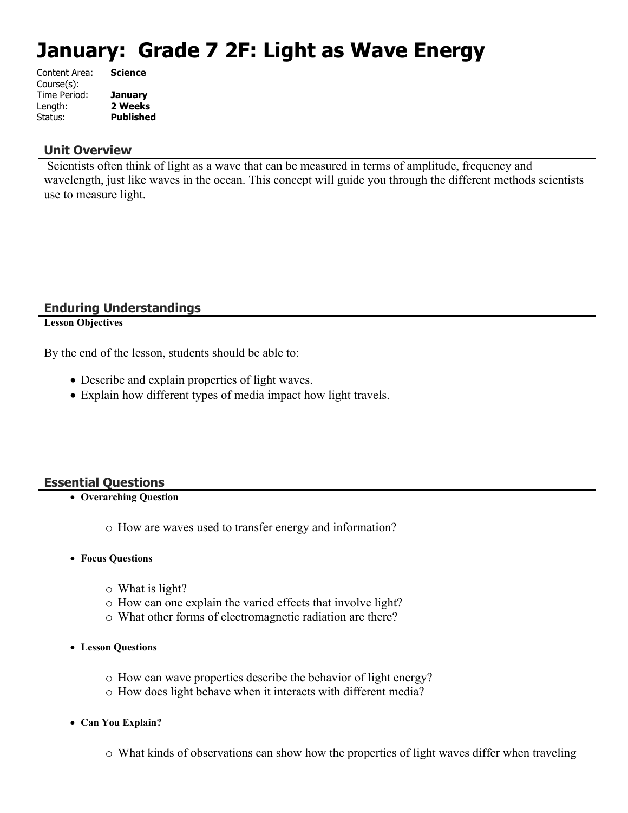# **January: Grade 7 2F: Light as Wave Energy**

| <b>Science</b>   |
|------------------|
|                  |
| <b>January</b>   |
| 2 Weeks          |
| <b>Published</b> |
|                  |

#### **Unit Overview**

 Scientists often think of light as a wave that can be measured in terms of amplitude, frequency and wavelength, just like waves in the ocean. This concept will guide you through the different methods scientists use to measure light.

#### **Enduring Understandings**

**Lesson Objectives**

By the end of the lesson, students should be able to:

- Describe and explain properties of light waves.
- Explain how different types of media impact how light travels.

#### **Essential Questions**

**Overarching Question**

o How are waves used to transfer energy and information?

- **Focus Questions**
	- o What is light?
	- o How can one explain the varied effects that involve light?
	- o What other forms of electromagnetic radiation are there?
- **Lesson Questions**
	- o How can wave properties describe the behavior of light energy?
	- o How does light behave when it interacts with different media?
- **Can You Explain?**
	- o What kinds of observations can show how the properties of light waves differ when traveling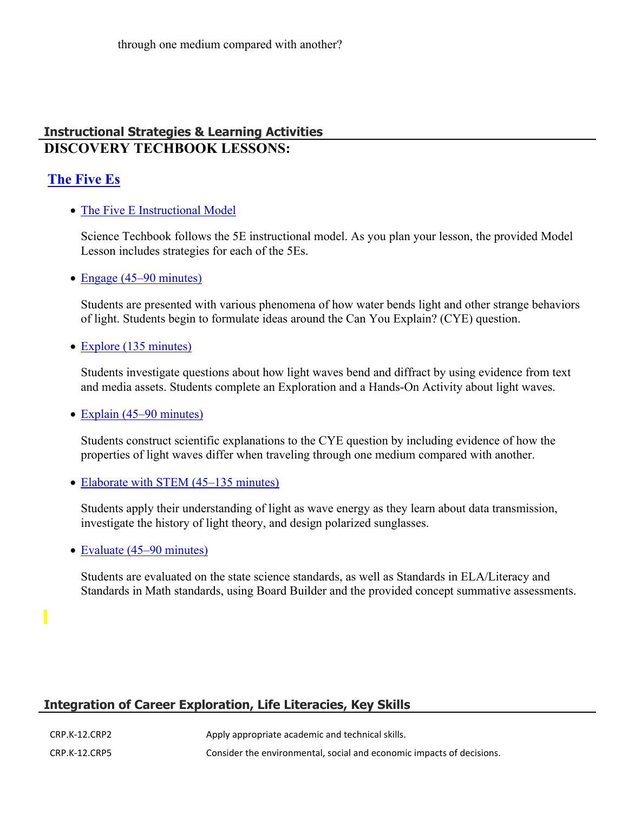## **Instructional Strategies & Learning Activities DISCOVERY TECHBOOK LESSONS:**

## **[The Five Es](https://app.discoveryeducation.com/learn/techbook/units/0eb7a0d2-f81f-4021-a6a6-10cacdb31920/concepts/b8130616-baf0-4d12-add7-37fb13b0f20f/lesson/sections/dd6f51b9-d7f7-4661-9e88-4079599a9340)**

• [The Five E Instructional Model](https://app.discoveryeducation.com/learn/techbook/units/0eb7a0d2-f81f-4021-a6a6-10cacdb31920/concepts/b8130616-baf0-4d12-add7-37fb13b0f20f/lesson/sections/dd6f51b9-d7f7-4661-9e88-4079599a9340#28538fec-9154-4616-afab-42a5eabe99e5)

Science Techbook follows the 5E instructional model. As you plan your lesson, the provided Model Lesson includes strategies for each of the 5Es.

• [Engage \(45–90 minutes\)](https://app.discoveryeducation.com/learn/techbook/units/0eb7a0d2-f81f-4021-a6a6-10cacdb31920/concepts/b8130616-baf0-4d12-add7-37fb13b0f20f/lesson/sections/dd6f51b9-d7f7-4661-9e88-4079599a9340#d135613e-5221-4641-bac8-af3cc207f8ae)

Students are presented with various phenomena of how water bends light and other strange behaviors of light. Students begin to formulate ideas around the Can You Explain? (CYE) question.

• [Explore \(135 minutes\)](https://app.discoveryeducation.com/learn/techbook/units/0eb7a0d2-f81f-4021-a6a6-10cacdb31920/concepts/b8130616-baf0-4d12-add7-37fb13b0f20f/lesson/sections/dd6f51b9-d7f7-4661-9e88-4079599a9340#8aa08fb8-3fb8-454c-905e-87ea9119626b)

Students investigate questions about how light waves bend and diffract by using evidence from text and media assets. Students complete an Exploration and a Hands-On Activity about light waves.

• [Explain \(45–90 minutes\)](https://app.discoveryeducation.com/learn/techbook/units/0eb7a0d2-f81f-4021-a6a6-10cacdb31920/concepts/b8130616-baf0-4d12-add7-37fb13b0f20f/lesson/sections/dd6f51b9-d7f7-4661-9e88-4079599a9340#667cad51-acf8-47bc-bf33-cde5d7179300)

Students construct scientific explanations to the CYE question by including evidence of how the properties of light waves differ when traveling through one medium compared with another.

• [Elaborate with STEM \(45–135 minutes\)](https://app.discoveryeducation.com/learn/techbook/units/0eb7a0d2-f81f-4021-a6a6-10cacdb31920/concepts/b8130616-baf0-4d12-add7-37fb13b0f20f/lesson/sections/dd6f51b9-d7f7-4661-9e88-4079599a9340#1b3dbe01-9ada-4132-90e0-6924f19117f3)

Students apply their understanding of light as wave energy as they learn about data transmission, investigate the history of light theory, and design polarized sunglasses.

• [Evaluate \(45–90 minutes\)](https://app.discoveryeducation.com/learn/techbook/units/0eb7a0d2-f81f-4021-a6a6-10cacdb31920/concepts/b8130616-baf0-4d12-add7-37fb13b0f20f/lesson/sections/dd6f51b9-d7f7-4661-9e88-4079599a9340#34fb04a2-6acf-41da-a3bc-f825dfb7e2fd)

Students are evaluated on the state science standards, as well as Standards in ELA/Literacy and Standards in Math standards, using Board Builder and the provided concept summative assessments.

## **Integration of Career Exploration, Life Literacies, Key Skills**

| CRP.K-12.CRP2 | Apply appropriate academic and technical skills.                      |
|---------------|-----------------------------------------------------------------------|
| CRP.K-12.CRP5 | Consider the environmental, social and economic impacts of decisions. |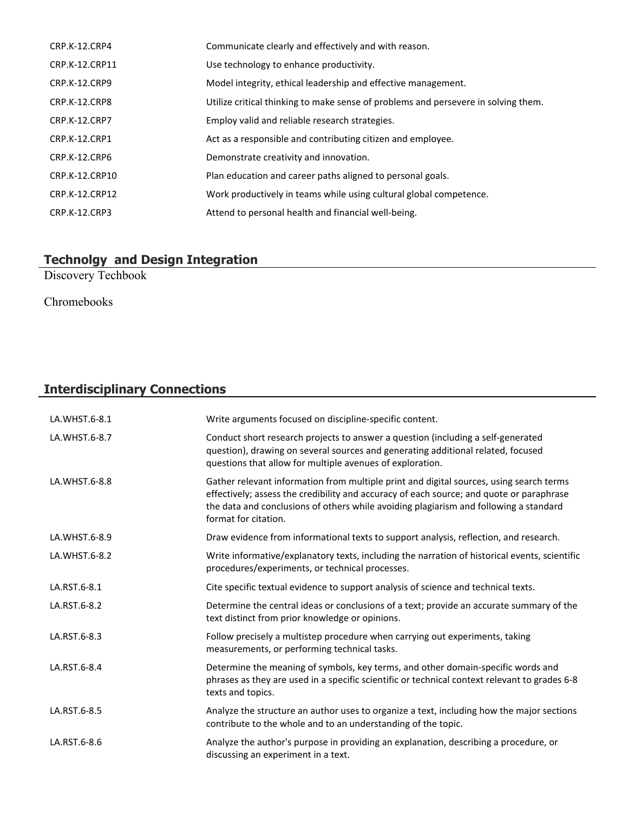| CRP.K-12.CRP4        | Communicate clearly and effectively and with reason.                               |
|----------------------|------------------------------------------------------------------------------------|
| CRP.K-12.CRP11       | Use technology to enhance productivity.                                            |
| <b>CRP.K-12.CRP9</b> | Model integrity, ethical leadership and effective management.                      |
| CRP.K-12.CRP8        | Utilize critical thinking to make sense of problems and persevere in solving them. |
| <b>CRP.K-12.CRP7</b> | Employ valid and reliable research strategies.                                     |
| <b>CRP.K-12.CRP1</b> | Act as a responsible and contributing citizen and employee.                        |
| CRP.K-12.CRP6        | Demonstrate creativity and innovation.                                             |
| CRP.K-12.CRP10       | Plan education and career paths aligned to personal goals.                         |
| CRP.K-12.CRP12       | Work productively in teams while using cultural global competence.                 |
| CRP.K-12.CRP3        | Attend to personal health and financial well-being.                                |

#### **Technolgy and Design Integration**

Discovery Techbook

Chromebooks

## **Interdisciplinary Connections**

| LA.WHST.6-8.1 | Write arguments focused on discipline-specific content.                                                                                                                                                                                                                                              |
|---------------|------------------------------------------------------------------------------------------------------------------------------------------------------------------------------------------------------------------------------------------------------------------------------------------------------|
| LA.WHST.6-8.7 | Conduct short research projects to answer a question (including a self-generated<br>question), drawing on several sources and generating additional related, focused<br>questions that allow for multiple avenues of exploration.                                                                    |
| LA.WHST.6-8.8 | Gather relevant information from multiple print and digital sources, using search terms<br>effectively; assess the credibility and accuracy of each source; and quote or paraphrase<br>the data and conclusions of others while avoiding plagiarism and following a standard<br>format for citation. |
| LA.WHST.6-8.9 | Draw evidence from informational texts to support analysis, reflection, and research.                                                                                                                                                                                                                |
| LA.WHST.6-8.2 | Write informative/explanatory texts, including the narration of historical events, scientific<br>procedures/experiments, or technical processes.                                                                                                                                                     |
| LA.RST.6-8.1  | Cite specific textual evidence to support analysis of science and technical texts.                                                                                                                                                                                                                   |
| LA.RST.6-8.2  | Determine the central ideas or conclusions of a text; provide an accurate summary of the<br>text distinct from prior knowledge or opinions.                                                                                                                                                          |
| LA.RST.6-8.3  | Follow precisely a multistep procedure when carrying out experiments, taking<br>measurements, or performing technical tasks.                                                                                                                                                                         |
| LA.RST.6-8.4  | Determine the meaning of symbols, key terms, and other domain-specific words and<br>phrases as they are used in a specific scientific or technical context relevant to grades 6-8<br>texts and topics.                                                                                               |
| LA.RST.6-8.5  | Analyze the structure an author uses to organize a text, including how the major sections<br>contribute to the whole and to an understanding of the topic.                                                                                                                                           |
| LA.RST.6-8.6  | Analyze the author's purpose in providing an explanation, describing a procedure, or<br>discussing an experiment in a text.                                                                                                                                                                          |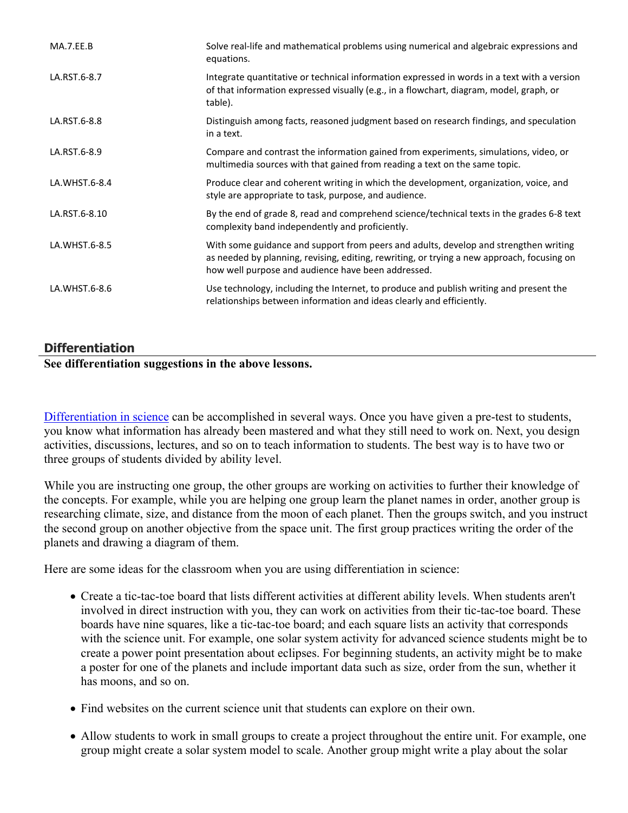| MA.7.EE.B     | Solve real-life and mathematical problems using numerical and algebraic expressions and<br>equations.                                                                                                                                    |
|---------------|------------------------------------------------------------------------------------------------------------------------------------------------------------------------------------------------------------------------------------------|
| LA.RST.6-8.7  | Integrate quantitative or technical information expressed in words in a text with a version<br>of that information expressed visually (e.g., in a flowchart, diagram, model, graph, or<br>table).                                        |
| LA.RST.6-8.8  | Distinguish among facts, reasoned judgment based on research findings, and speculation<br>in a text.                                                                                                                                     |
| LA.RST.6-8.9  | Compare and contrast the information gained from experiments, simulations, video, or<br>multimedia sources with that gained from reading a text on the same topic.                                                                       |
| LA.WHST.6-8.4 | Produce clear and coherent writing in which the development, organization, voice, and<br>style are appropriate to task, purpose, and audience.                                                                                           |
| LA.RST.6-8.10 | By the end of grade 8, read and comprehend science/technical texts in the grades 6-8 text<br>complexity band independently and proficiently.                                                                                             |
| LA.WHST.6-8.5 | With some guidance and support from peers and adults, develop and strengthen writing<br>as needed by planning, revising, editing, rewriting, or trying a new approach, focusing on<br>how well purpose and audience have been addressed. |
| LA.WHST.6-8.6 | Use technology, including the Internet, to produce and publish writing and present the<br>relationships between information and ideas clearly and efficiently.                                                                           |

### **Differentiation**

**See differentiation suggestions in the above lessons.** 

[Differentiation in science](http://www.brighthubeducation.com/teaching-gifted-students/65181-differentiation-techniques-and-activities-in-the-classroom-for-gifted-students/) can be accomplished in several ways. Once you have given a pre-test to students, you know what information has already been mastered and what they still need to work on. Next, you design activities, discussions, lectures, and so on to teach information to students. The best way is to have two or three groups of students divided by ability level.

While you are instructing one group, the other groups are working on activities to further their knowledge of the concepts. For example, while you are helping one group learn the planet names in order, another group is researching climate, size, and distance from the moon of each planet. Then the groups switch, and you instruct the second group on another objective from the space unit. The first group practices writing the order of the planets and drawing a diagram of them.

Here are some ideas for the classroom when you are using differentiation in science:

- Create a tic-tac-toe board that lists different activities at different ability levels. When students aren't involved in direct instruction with you, they can work on activities from their tic-tac-toe board. These boards have nine squares, like a tic-tac-toe board; and each square lists an activity that corresponds with the science unit. For example, one solar system activity for advanced science students might be to create a power point presentation about eclipses. For beginning students, an activity might be to make a poster for one of the planets and include important data such as size, order from the sun, whether it has moons, and so on.
- Find websites on the current science unit that students can explore on their own.
- Allow students to work in small groups to create a project throughout the entire unit. For example, one group might create a solar system model to scale. Another group might write a play about the solar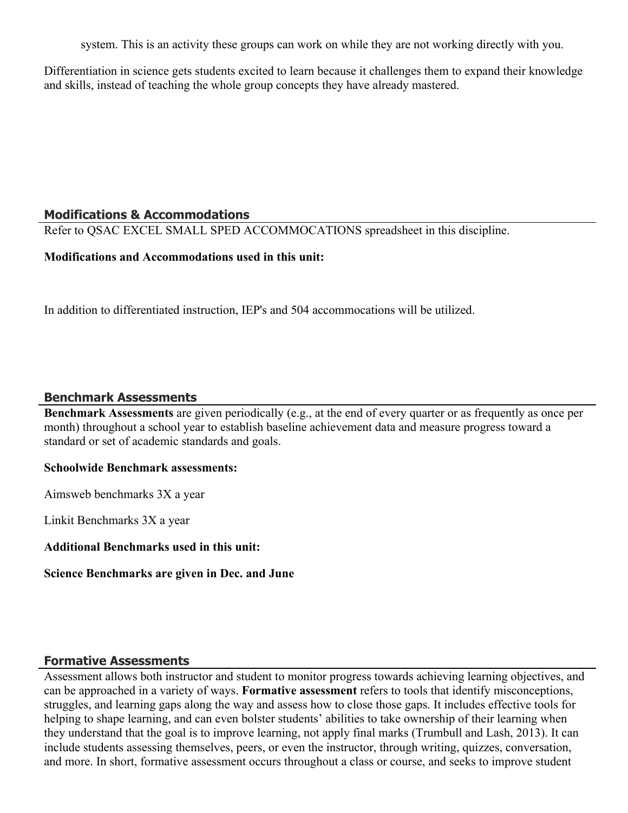system. This is an activity these groups can work on while they are not working directly with you.

Differentiation in science gets students excited to learn because it challenges them to expand their knowledge and skills, instead of teaching the whole group concepts they have already mastered.

#### **Modifications & Accommodations**

Refer to QSAC EXCEL SMALL SPED ACCOMMOCATIONS spreadsheet in this discipline.

#### **Modifications and Accommodations used in this unit:**

In addition to differentiated instruction, IEP's and 504 accommocations will be utilized.

#### **Benchmark Assessments**

**Benchmark Assessments** are given periodically (e.g., at the end of every quarter or as frequently as once per month) throughout a school year to establish baseline achievement data and measure progress toward a standard or set of academic standards and goals.

#### **Schoolwide Benchmark assessments:**

Aimsweb benchmarks 3X a year

Linkit Benchmarks 3X a year

**Additional Benchmarks used in this unit:**

#### **Science Benchmarks are given in Dec. and June**

#### **Formative Assessments**

Assessment allows both instructor and student to monitor progress towards achieving learning objectives, and can be approached in a variety of ways. **Formative assessment** refers to tools that identify misconceptions, struggles, and learning gaps along the way and assess how to close those gaps. It includes effective tools for helping to shape learning, and can even bolster students' abilities to take ownership of their learning when they understand that the goal is to improve learning, not apply final marks (Trumbull and Lash, 2013). It can include students assessing themselves, peers, or even the instructor, through writing, quizzes, conversation, and more. In short, formative assessment occurs throughout a class or course, and seeks to improve student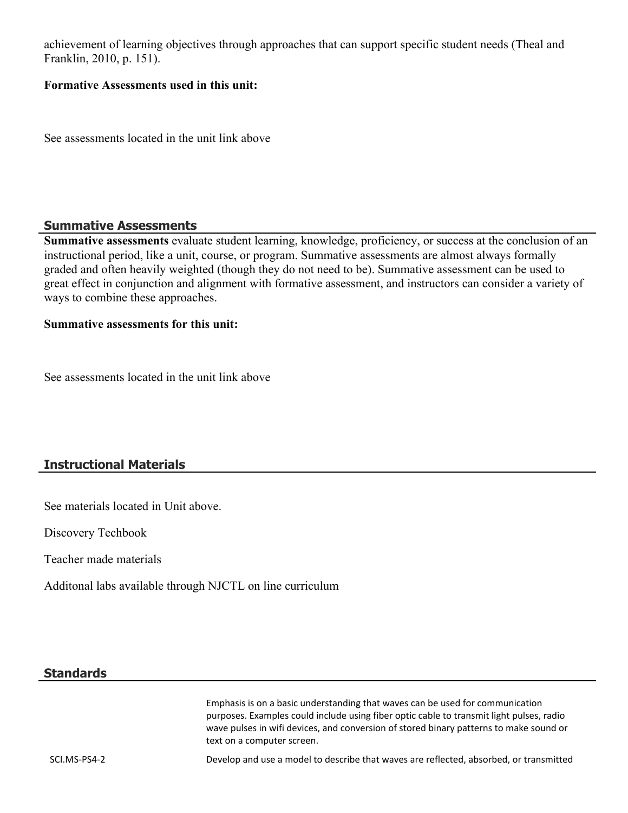achievement of learning objectives through approaches that can support specific student needs (Theal and Franklin, 2010, p. 151).

#### **Formative Assessments used in this unit:**

See assessments located in the unit link above

#### **Summative Assessments**

**Summative assessments** evaluate student learning, knowledge, proficiency, or success at the conclusion of an instructional period, like a unit, course, or program. Summative assessments are almost always formally graded and often heavily weighted (though they do not need to be). Summative assessment can be used to great effect in conjunction and alignment with formative assessment, and instructors can consider a variety of ways to combine these approaches.

#### **Summative assessments for this unit:**

See assessments located in the unit link above

#### **Instructional Materials**

See materials located in Unit above.

Discovery Techbook

Teacher made materials

Additonal labs available through NJCTL on line curriculum

#### **Standards**

Emphasis is on a basic understanding that waves can be used for communication purposes. Examples could include using fiber optic cable to transmit light pulses, radio wave pulses in wifi devices, and conversion of stored binary patterns to make sound or text on a computer screen.

SCI.MS-PS4-2 Develop and use a model to describe that waves are reflected, absorbed, or transmitted